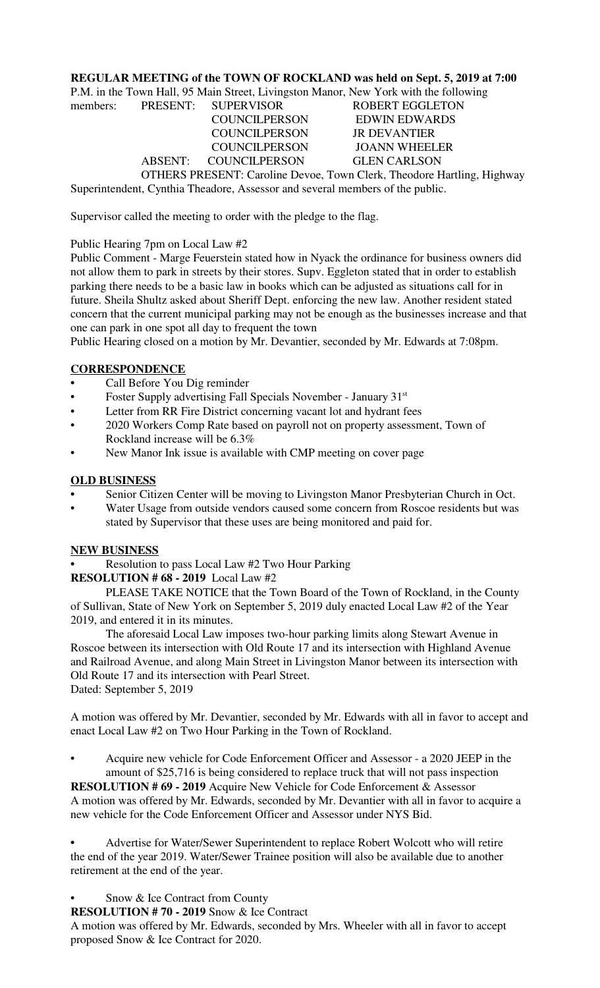#### **REGULAR MEETING of the TOWN OF ROCKLAND was held on Sept. 5, 2019 at 7:00**

P.M. in the Town Hall, 95 Main Street, Livingston Manor, New York with the following

| 1,191. In the Town Han, 22 main Succi, Ervingston Manor, Frow Tork with the following |  |                              |                        |  |  |  |
|---------------------------------------------------------------------------------------|--|------------------------------|------------------------|--|--|--|
|                                                                                       |  | members: PRESENT: SUPERVISOR | <b>ROBERT EGGLETON</b> |  |  |  |
|                                                                                       |  | <b>COUNCILPERSON</b>         | <b>EDWIN EDWARDS</b>   |  |  |  |
|                                                                                       |  | <b>COUNCILPERSON</b>         | <b>JR DEVANTIER</b>    |  |  |  |
|                                                                                       |  | <b>COUNCILPERSON</b>         | <b>JOANN WHEELER</b>   |  |  |  |
|                                                                                       |  | ABSENT: COUNCILPERSON        | <b>GLEN CARLSON</b>    |  |  |  |
| OTHERS PRESENT: Caroline Devoe, Town Clerk, Theodore Hartling, Highway                |  |                              |                        |  |  |  |
| Superintendent, Cynthia Theadore, Assessor and several members of the public.         |  |                              |                        |  |  |  |

Supervisor called the meeting to order with the pledge to the flag.

#### Public Hearing 7pm on Local Law #2

Public Comment - Marge Feuerstein stated how in Nyack the ordinance for business owners did not allow them to park in streets by their stores. Supv. Eggleton stated that in order to establish parking there needs to be a basic law in books which can be adjusted as situations call for in future. Sheila Shultz asked about Sheriff Dept. enforcing the new law. Another resident stated concern that the current municipal parking may not be enough as the businesses increase and that one can park in one spot all day to frequent the town

Public Hearing closed on a motion by Mr. Devantier, seconded by Mr. Edwards at 7:08pm.

#### **CORRESPONDENCE**

- **•** Call Before You Dig reminder
- Foster Supply advertising Fall Specials November January 31st
- Letter from RR Fire District concerning vacant lot and hydrant fees
- 2020 Workers Comp Rate based on payroll not on property assessment, Town of Rockland increase will be 6.3%
- New Manor Ink issue is available with CMP meeting on cover page

### **OLD BUSINESS**

- **•** Senior Citizen Center will be moving to Livingston Manor Presbyterian Church in Oct.
- Water Usage from outside vendors caused some concern from Roscoe residents but was stated by Supervisor that these uses are being monitored and paid for.

#### **NEW BUSINESS**

**•** Resolution to pass Local Law #2 Two Hour Parking

**RESOLUTION # 68 - 2019** Local Law #2

PLEASE TAKE NOTICE that the Town Board of the Town of Rockland, in the County of Sullivan, State of New York on September 5, 2019 duly enacted Local Law #2 of the Year 2019, and entered it in its minutes.

The aforesaid Local Law imposes two-hour parking limits along Stewart Avenue in Roscoe between its intersection with Old Route 17 and its intersection with Highland Avenue and Railroad Avenue, and along Main Street in Livingston Manor between its intersection with Old Route 17 and its intersection with Pearl Street. Dated: September 5, 2019

A motion was offered by Mr. Devantier, seconded by Mr. Edwards with all in favor to accept and enact Local Law #2 on Two Hour Parking in the Town of Rockland.

• Acquire new vehicle for Code Enforcement Officer and Assessor - a 2020 JEEP in the amount of \$25,716 is being considered to replace truck that will not pass inspection

**RESOLUTION # 69 - 2019** Acquire New Vehicle for Code Enforcement & Assessor A motion was offered by Mr. Edwards, seconded by Mr. Devantier with all in favor to acquire a new vehicle for the Code Enforcement Officer and Assessor under NYS Bid.

**•** Advertise for Water/Sewer Superintendent to replace Robert Wolcott who will retire the end of the year 2019. Water/Sewer Trainee position will also be available due to another retirement at the end of the year.

Snow & Ice Contract from County

**RESOLUTION # 70 - 2019** Snow & Ice Contract

A motion was offered by Mr. Edwards, seconded by Mrs. Wheeler with all in favor to accept proposed Snow & Ice Contract for 2020.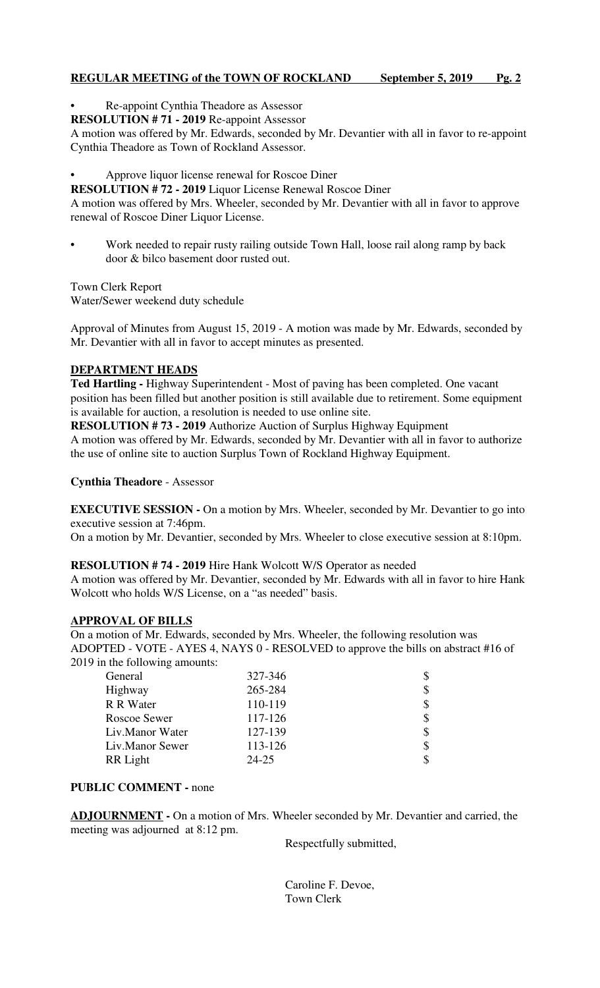## **REGULAR MEETING of the TOWN OF ROCKLAND September 5, 2019 Pg. 2**

- Re-appoint Cynthia Theadore as Assessor
- **RESOLUTION # 71 2019** Re-appoint Assessor

A motion was offered by Mr. Edwards, seconded by Mr. Devantier with all in favor to re-appoint Cynthia Theadore as Town of Rockland Assessor.

• Approve liquor license renewal for Roscoe Diner

**RESOLUTION # 72 - 2019** Liquor License Renewal Roscoe Diner

A motion was offered by Mrs. Wheeler, seconded by Mr. Devantier with all in favor to approve renewal of Roscoe Diner Liquor License.

• Work needed to repair rusty railing outside Town Hall, loose rail along ramp by back door & bilco basement door rusted out.

Town Clerk Report Water/Sewer weekend duty schedule

Approval of Minutes from August 15, 2019 - A motion was made by Mr. Edwards, seconded by Mr. Devantier with all in favor to accept minutes as presented.

# **DEPARTMENT HEADS**

**Ted Hartling -** Highway Superintendent - Most of paving has been completed. One vacant position has been filled but another position is still available due to retirement. Some equipment is available for auction, a resolution is needed to use online site.

**RESOLUTION # 73 - 2019** Authorize Auction of Surplus Highway Equipment A motion was offered by Mr. Edwards, seconded by Mr. Devantier with all in favor to authorize the use of online site to auction Surplus Town of Rockland Highway Equipment.

**Cynthia Theadore** - Assessor

**EXECUTIVE SESSION -** On a motion by Mrs. Wheeler, seconded by Mr. Devantier to go into executive session at 7:46pm.

On a motion by Mr. Devantier, seconded by Mrs. Wheeler to close executive session at 8:10pm.

**RESOLUTION # 74 - 2019** Hire Hank Wolcott W/S Operator as needed

A motion was offered by Mr. Devantier, seconded by Mr. Edwards with all in favor to hire Hank Wolcott who holds W/S License, on a "as needed" basis.

#### **APPROVAL OF BILLS**

On a motion of Mr. Edwards, seconded by Mrs. Wheeler, the following resolution was ADOPTED - VOTE - AYES 4, NAYS 0 - RESOLVED to approve the bills on abstract #16 of 2019 in the following amounts:

| General         | 327-346 | \$ |
|-----------------|---------|----|
| Highway         | 265-284 | \$ |
| R R Water       | 110-119 |    |
| Roscoe Sewer    | 117-126 | \$ |
| Liv.Manor Water | 127-139 | \$ |
| Liv.Manor Sewer | 113-126 | \$ |
| RR Light        | 24-25   | \$ |
|                 |         |    |

#### **PUBLIC COMMENT -** none

**ADJOURNMENT -** On a motion of Mrs. Wheeler seconded by Mr. Devantier and carried, the meeting was adjourned at 8:12 pm.

Respectfully submitted,

 Caroline F. Devoe, Town Clerk